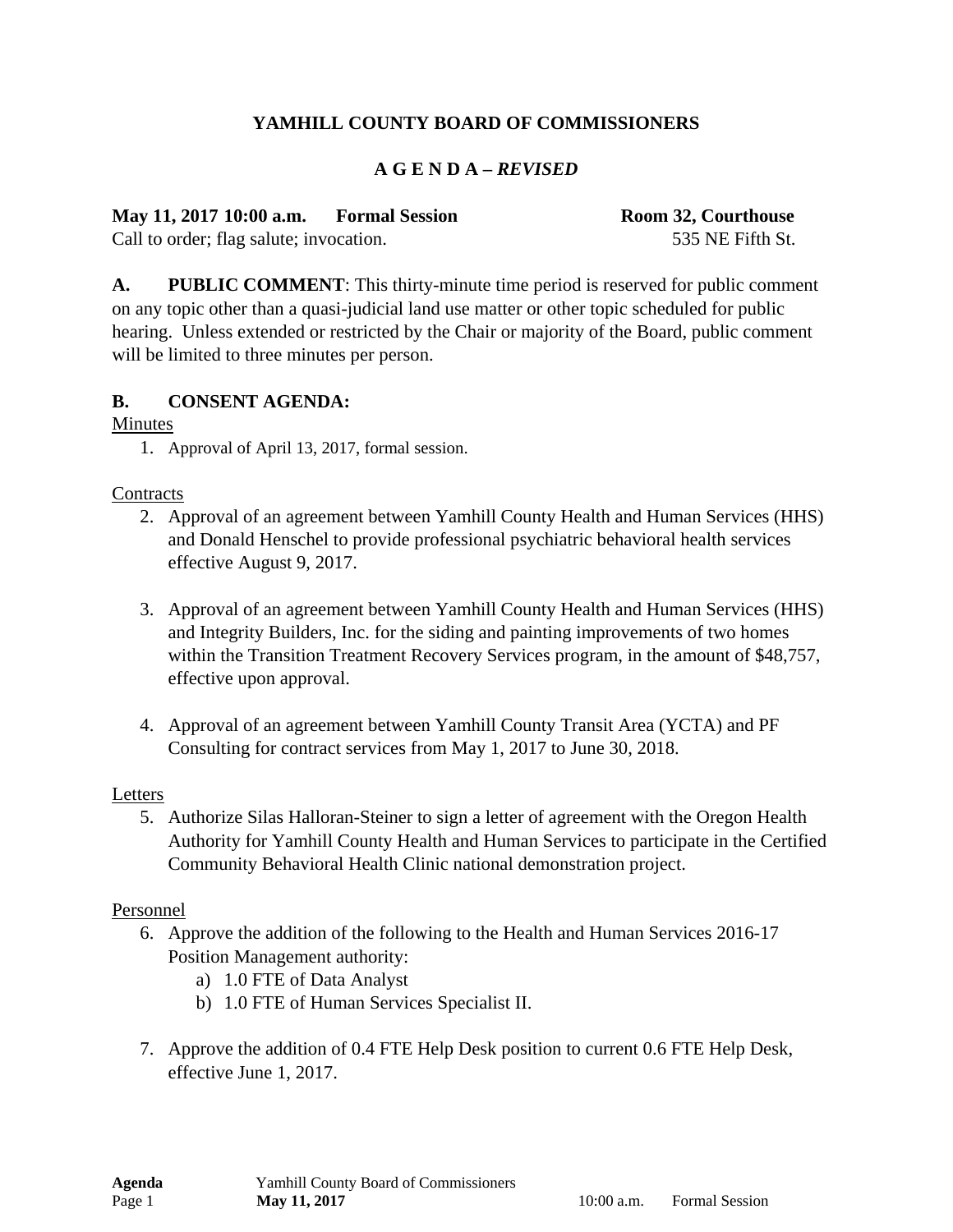## **YAMHILL COUNTY BOARD OF COMMISSIONERS**

### **A G E N D A –** *REVISED*

**May 11, 2017 10:00 a.m. Formal Session Room 32, Courthouse** 

Call to order; flag salute; invocation. 535 NE Fifth St.

**A. PUBLIC COMMENT**: This thirty-minute time period is reserved for public comment on any topic other than a quasi-judicial land use matter or other topic scheduled for public hearing. Unless extended or restricted by the Chair or majority of the Board, public comment will be limited to three minutes per person.

### **B. CONSENT AGENDA:**

Minutes

1. Approval of April 13, 2017, formal session.

### **Contracts**

- 2. Approval of an agreement between Yamhill County Health and Human Services (HHS) and Donald Henschel to provide professional psychiatric behavioral health services effective August 9, 2017.
- 3. Approval of an agreement between Yamhill County Health and Human Services (HHS) and Integrity Builders, Inc. for the siding and painting improvements of two homes within the Transition Treatment Recovery Services program, in the amount of \$48,757, effective upon approval.
- 4. Approval of an agreement between Yamhill County Transit Area (YCTA) and PF Consulting for contract services from May 1, 2017 to June 30, 2018.

#### Letters

5. Authorize Silas Halloran-Steiner to sign a letter of agreement with the Oregon Health Authority for Yamhill County Health and Human Services to participate in the Certified Community Behavioral Health Clinic national demonstration project.

#### Personnel

- 6. Approve the addition of the following to the Health and Human Services 2016-17 Position Management authority:
	- a) 1.0 FTE of Data Analyst
	- b) 1.0 FTE of Human Services Specialist II.
- 7. Approve the addition of 0.4 FTE Help Desk position to current 0.6 FTE Help Desk, effective June 1, 2017.